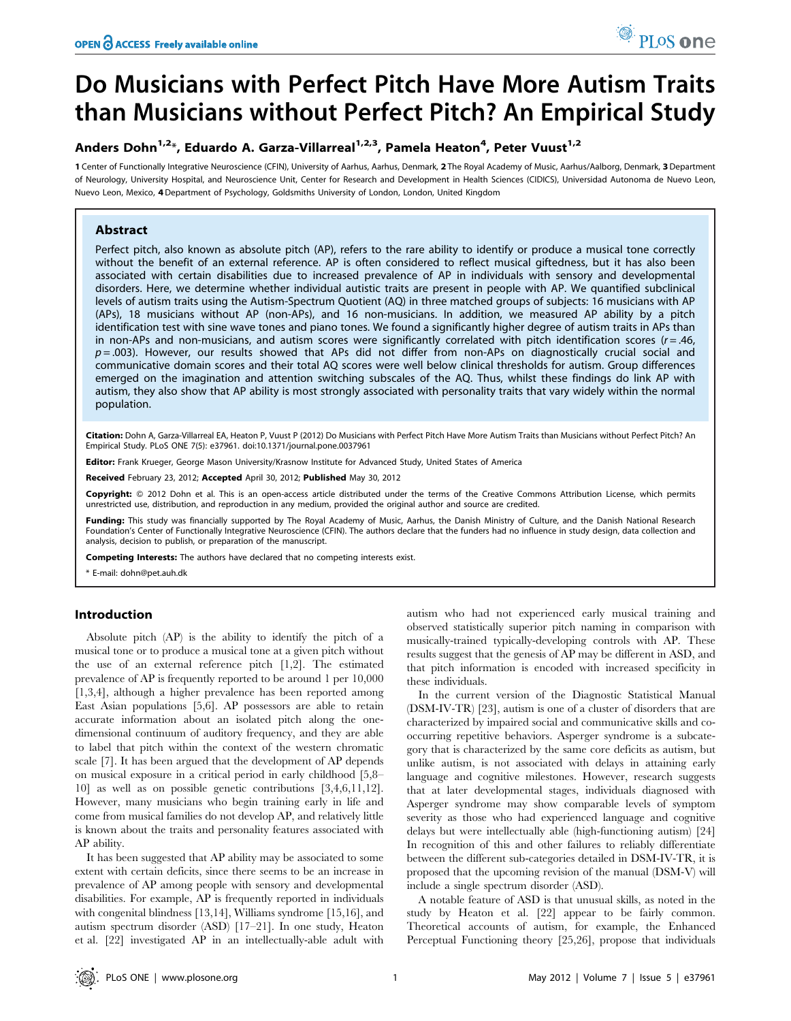# Do Musicians with Perfect Pitch Have More Autism Traits than Musicians without Perfect Pitch? An Empirical Study

## Anders Dohn<sup>1,2\*</sup>, Eduardo A. Garza-Villarreal<sup>1,2,3</sup>, Pamela Heaton<sup>4</sup>, Peter Vuust<sup>1,2</sup>

1 Center of Functionally Integrative Neuroscience (CFIN), University of Aarhus, Aarhus, Denmark, 2 The Royal Academy of Music, Aarhus/Aalborg, Denmark, 3 Department of Neurology, University Hospital, and Neuroscience Unit, Center for Research and Development in Health Sciences (CIDICS), Universidad Autonoma de Nuevo Leon, Nuevo Leon, Mexico, 4 Department of Psychology, Goldsmiths University of London, London, United Kingdom

## Abstract

Perfect pitch, also known as absolute pitch (AP), refers to the rare ability to identify or produce a musical tone correctly without the benefit of an external reference. AP is often considered to reflect musical giftedness, but it has also been associated with certain disabilities due to increased prevalence of AP in individuals with sensory and developmental disorders. Here, we determine whether individual autistic traits are present in people with AP. We quantified subclinical levels of autism traits using the Autism-Spectrum Quotient (AQ) in three matched groups of subjects: 16 musicians with AP (APs), 18 musicians without AP (non-APs), and 16 non-musicians. In addition, we measured AP ability by a pitch identification test with sine wave tones and piano tones. We found a significantly higher degree of autism traits in APs than in non-APs and non-musicians, and autism scores were significantly correlated with pitch identification scores ( $r = .46$ ,  $p = .003$ ). However, our results showed that APs did not differ from non-APs on diagnostically crucial social and communicative domain scores and their total AQ scores were well below clinical thresholds for autism. Group differences emerged on the imagination and attention switching subscales of the AQ. Thus, whilst these findings do link AP with autism, they also show that AP ability is most strongly associated with personality traits that vary widely within the normal population.

Citation: Dohn A, Garza-Villarreal EA, Heaton P, Vuust P (2012) Do Musicians with Perfect Pitch Have More Autism Traits than Musicians without Perfect Pitch? An Empirical Study. PLoS ONE 7(5): e37961. doi:10.1371/journal.pone.0037961

Editor: Frank Krueger, George Mason University/Krasnow Institute for Advanced Study, United States of America

Received February 23, 2012; Accepted April 30, 2012; Published May 30, 2012

Copyright: © 2012 Dohn et al. This is an open-access article distributed under the terms of the Creative Commons Attribution License, which permits unrestricted use, distribution, and reproduction in any medium, provided the original author and source are credited.

Funding: This study was financially supported by The Royal Academy of Music, Aarhus, the Danish Ministry of Culture, and the Danish National Research Foundation's Center of Functionally Integrative Neuroscience (CFIN). The authors declare that the funders had no influence in study design, data collection and analysis, decision to publish, or preparation of the manuscript.

Competing Interests: The authors have declared that no competing interests exist.

\* E-mail: dohn@pet.auh.dk

## Introduction

Absolute pitch (AP) is the ability to identify the pitch of a musical tone or to produce a musical tone at a given pitch without the use of an external reference pitch [1,2]. The estimated prevalence of AP is frequently reported to be around 1 per 10,000 [1,3,4], although a higher prevalence has been reported among East Asian populations [5,6]. AP possessors are able to retain accurate information about an isolated pitch along the onedimensional continuum of auditory frequency, and they are able to label that pitch within the context of the western chromatic scale [7]. It has been argued that the development of AP depends on musical exposure in a critical period in early childhood [5,8– 10] as well as on possible genetic contributions [3,4,6,11,12]. However, many musicians who begin training early in life and come from musical families do not develop AP, and relatively little is known about the traits and personality features associated with AP ability.

It has been suggested that AP ability may be associated to some extent with certain deficits, since there seems to be an increase in prevalence of AP among people with sensory and developmental disabilities. For example, AP is frequently reported in individuals with congenital blindness [13,14], Williams syndrome [15,16], and autism spectrum disorder (ASD) [17–21]. In one study, Heaton et al. [22] investigated AP in an intellectually-able adult with autism who had not experienced early musical training and observed statistically superior pitch naming in comparison with musically-trained typically-developing controls with AP. These results suggest that the genesis of AP may be different in ASD, and that pitch information is encoded with increased specificity in these individuals.

PLoS one

In the current version of the Diagnostic Statistical Manual (DSM-IV-TR) [23], autism is one of a cluster of disorders that are characterized by impaired social and communicative skills and cooccurring repetitive behaviors. Asperger syndrome is a subcategory that is characterized by the same core deficits as autism, but unlike autism, is not associated with delays in attaining early language and cognitive milestones. However, research suggests that at later developmental stages, individuals diagnosed with Asperger syndrome may show comparable levels of symptom severity as those who had experienced language and cognitive delays but were intellectually able (high-functioning autism) [24] In recognition of this and other failures to reliably differentiate between the different sub-categories detailed in DSM-IV-TR, it is proposed that the upcoming revision of the manual (DSM-V) will include a single spectrum disorder (ASD).

A notable feature of ASD is that unusual skills, as noted in the study by Heaton et al. [22] appear to be fairly common. Theoretical accounts of autism, for example, the Enhanced Perceptual Functioning theory [25,26], propose that individuals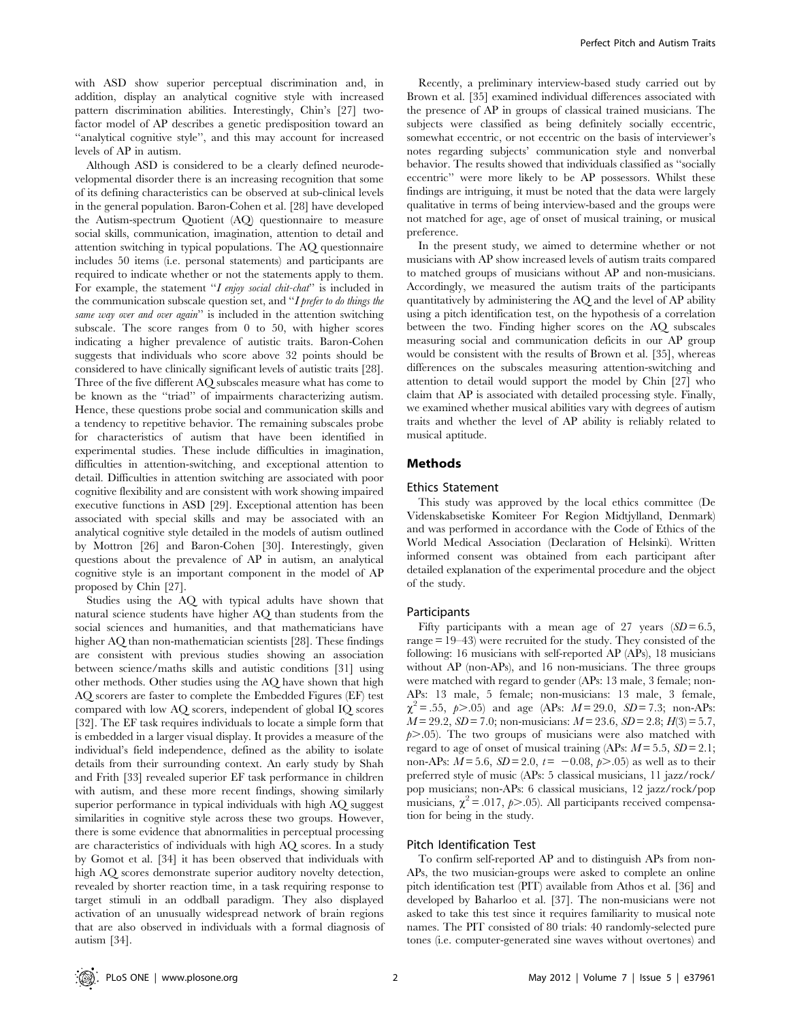with ASD show superior perceptual discrimination and, in addition, display an analytical cognitive style with increased pattern discrimination abilities. Interestingly, Chin's [27] twofactor model of AP describes a genetic predisposition toward an ''analytical cognitive style'', and this may account for increased levels of AP in autism.

Although ASD is considered to be a clearly defined neurodevelopmental disorder there is an increasing recognition that some of its defining characteristics can be observed at sub-clinical levels in the general population. Baron-Cohen et al. [28] have developed the Autism-spectrum Quotient (AQ) questionnaire to measure social skills, communication, imagination, attention to detail and attention switching in typical populations. The AQ questionnaire includes 50 items (i.e. personal statements) and participants are required to indicate whether or not the statements apply to them. For example, the statement "I enjoy social chit-chat" is included in the communication subscale question set, and ''I prefer to do things the same way over and over again" is included in the attention switching subscale. The score ranges from 0 to 50, with higher scores indicating a higher prevalence of autistic traits. Baron-Cohen suggests that individuals who score above 32 points should be considered to have clinically significant levels of autistic traits [28]. Three of the five different AQ subscales measure what has come to be known as the ''triad'' of impairments characterizing autism. Hence, these questions probe social and communication skills and a tendency to repetitive behavior. The remaining subscales probe for characteristics of autism that have been identified in experimental studies. These include difficulties in imagination, difficulties in attention-switching, and exceptional attention to detail. Difficulties in attention switching are associated with poor cognitive flexibility and are consistent with work showing impaired executive functions in ASD [29]. Exceptional attention has been associated with special skills and may be associated with an analytical cognitive style detailed in the models of autism outlined by Mottron [26] and Baron-Cohen [30]. Interestingly, given questions about the prevalence of AP in autism, an analytical cognitive style is an important component in the model of AP proposed by Chin [27].

Studies using the AQ with typical adults have shown that natural science students have higher AQ than students from the social sciences and humanities, and that mathematicians have higher AQ than non-mathematician scientists [28]. These findings are consistent with previous studies showing an association between science/maths skills and autistic conditions [31] using other methods. Other studies using the AQ have shown that high AQ scorers are faster to complete the Embedded Figures (EF) test compared with low AQ scorers, independent of global IQ scores [32]. The EF task requires individuals to locate a simple form that is embedded in a larger visual display. It provides a measure of the individual's field independence, defined as the ability to isolate details from their surrounding context. An early study by Shah and Frith [33] revealed superior EF task performance in children with autism, and these more recent findings, showing similarly superior performance in typical individuals with high AQ suggest similarities in cognitive style across these two groups. However, there is some evidence that abnormalities in perceptual processing are characteristics of individuals with high AQ scores. In a study by Gomot et al. [34] it has been observed that individuals with high AQ scores demonstrate superior auditory novelty detection, revealed by shorter reaction time, in a task requiring response to target stimuli in an oddball paradigm. They also displayed activation of an unusually widespread network of brain regions that are also observed in individuals with a formal diagnosis of autism [34].

Recently, a preliminary interview-based study carried out by Brown et al. [35] examined individual differences associated with the presence of AP in groups of classical trained musicians. The subjects were classified as being definitely socially eccentric, somewhat eccentric, or not eccentric on the basis of interviewer's notes regarding subjects' communication style and nonverbal behavior. The results showed that individuals classified as ''socially eccentric'' were more likely to be AP possessors. Whilst these findings are intriguing, it must be noted that the data were largely qualitative in terms of being interview-based and the groups were not matched for age, age of onset of musical training, or musical preference.

In the present study, we aimed to determine whether or not musicians with AP show increased levels of autism traits compared to matched groups of musicians without AP and non-musicians. Accordingly, we measured the autism traits of the participants quantitatively by administering the AQ and the level of AP ability using a pitch identification test, on the hypothesis of a correlation between the two. Finding higher scores on the AQ subscales measuring social and communication deficits in our AP group would be consistent with the results of Brown et al. [35], whereas differences on the subscales measuring attention-switching and attention to detail would support the model by Chin [27] who claim that AP is associated with detailed processing style. Finally, we examined whether musical abilities vary with degrees of autism traits and whether the level of AP ability is reliably related to musical aptitude.

## Methods

#### Ethics Statement

This study was approved by the local ethics committee (De Videnskabsetiske Komiteer For Region Midtjylland, Denmark) and was performed in accordance with the Code of Ethics of the World Medical Association (Declaration of Helsinki). Written informed consent was obtained from each participant after detailed explanation of the experimental procedure and the object of the study.

## Participants

Fifty participants with a mean age of 27 years  $(SD = 6.5,$ range = 19–43) were recruited for the study. They consisted of the following: 16 musicians with self-reported AP (APs), 18 musicians without AP (non-APs), and 16 non-musicians. The three groups were matched with regard to gender (APs: 13 male, 3 female; non-APs: 13 male, 5 female; non-musicians: 13 male, 3 female,  $\chi^2 = .55$ ,  $\rho > .05$ ) and age (APs:  $M = 29.0$ ,  $SD = 7.3$ ; non-APs:  $M = 29.2$ ,  $SD = 7.0$ ; non-musicians:  $M = 23.6$ ,  $SD = 2.8$ ;  $H(3) = 5.7$ ,  $p$  $>$ .05). The two groups of musicians were also matched with regard to age of onset of musical training (APs:  $M = 5.5$ ,  $SD = 2.1$ ; non-APs:  $M = 5.6$ ,  $SD = 2.0$ ,  $t = -0.08$ ,  $p > .05$ ) as well as to their preferred style of music (APs: 5 classical musicians, 11 jazz/rock/ pop musicians; non-APs: 6 classical musicians, 12 jazz/rock/pop musicians,  $\chi^2 = .017$ ,  $\rho > .05$ ). All participants received compensation for being in the study.

## Pitch Identification Test

To confirm self-reported AP and to distinguish APs from non-APs, the two musician-groups were asked to complete an online pitch identification test (PIT) available from Athos et al. [36] and developed by Baharloo et al. [37]. The non-musicians were not asked to take this test since it requires familiarity to musical note names. The PIT consisted of 80 trials: 40 randomly-selected pure tones (i.e. computer-generated sine waves without overtones) and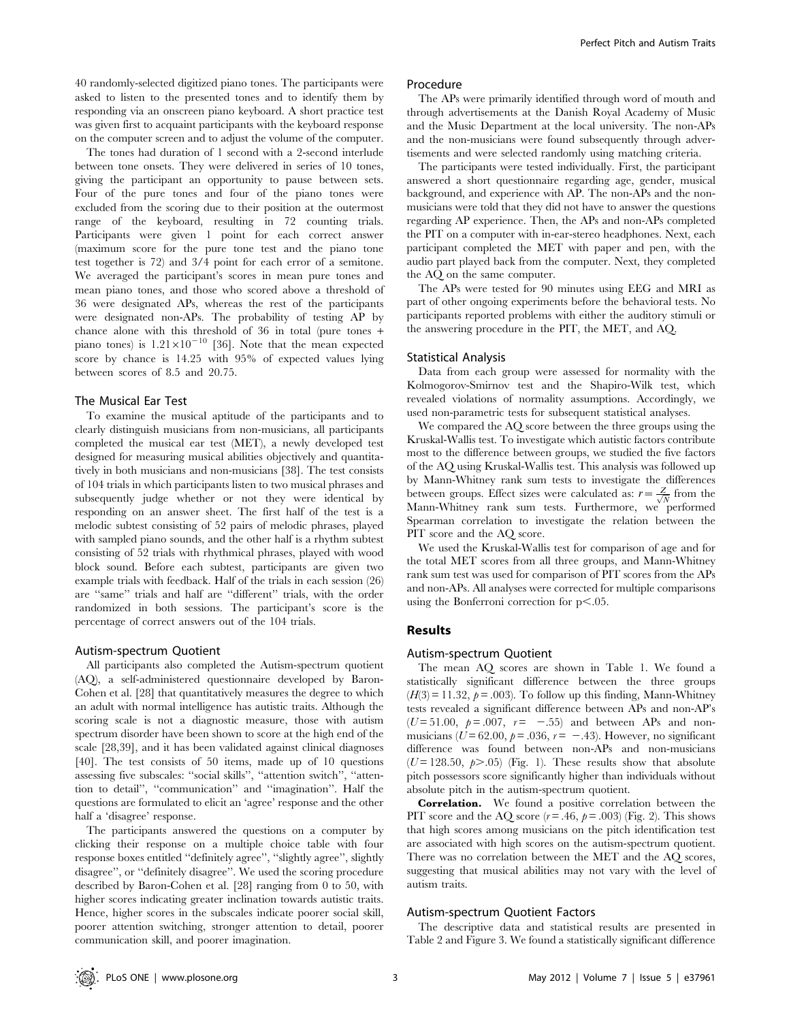40 randomly-selected digitized piano tones. The participants were asked to listen to the presented tones and to identify them by responding via an onscreen piano keyboard. A short practice test was given first to acquaint participants with the keyboard response on the computer screen and to adjust the volume of the computer.

The tones had duration of 1 second with a 2-second interlude between tone onsets. They were delivered in series of 10 tones, giving the participant an opportunity to pause between sets. Four of the pure tones and four of the piano tones were excluded from the scoring due to their position at the outermost range of the keyboard, resulting in 72 counting trials. Participants were given 1 point for each correct answer (maximum score for the pure tone test and the piano tone test together is 72) and 3/4 point for each error of a semitone. We averaged the participant's scores in mean pure tones and mean piano tones, and those who scored above a threshold of 36 were designated APs, whereas the rest of the participants were designated non-APs. The probability of testing AP by chance alone with this threshold of 36 in total (pure tones + piano tones) is  $1.21 \times 10^{-10}$  [36]. Note that the mean expected score by chance is 14.25 with 95% of expected values lying between scores of 8.5 and 20.75.

#### The Musical Ear Test

To examine the musical aptitude of the participants and to clearly distinguish musicians from non-musicians, all participants completed the musical ear test (MET), a newly developed test designed for measuring musical abilities objectively and quantitatively in both musicians and non-musicians [38]. The test consists of 104 trials in which participants listen to two musical phrases and subsequently judge whether or not they were identical by responding on an answer sheet. The first half of the test is a melodic subtest consisting of 52 pairs of melodic phrases, played with sampled piano sounds, and the other half is a rhythm subtest consisting of 52 trials with rhythmical phrases, played with wood block sound. Before each subtest, participants are given two example trials with feedback. Half of the trials in each session (26) are ''same'' trials and half are ''different'' trials, with the order randomized in both sessions. The participant's score is the percentage of correct answers out of the 104 trials.

#### Autism-spectrum Quotient

All participants also completed the Autism-spectrum quotient (AQ), a self-administered questionnaire developed by Baron-Cohen et al. [28] that quantitatively measures the degree to which an adult with normal intelligence has autistic traits. Although the scoring scale is not a diagnostic measure, those with autism spectrum disorder have been shown to score at the high end of the scale [28,39], and it has been validated against clinical diagnoses [40]. The test consists of 50 items, made up of 10 questions assessing five subscales: ''social skills'', ''attention switch'', ''attention to detail'', ''communication'' and ''imagination''. Half the questions are formulated to elicit an 'agree' response and the other half a 'disagree' response.

The participants answered the questions on a computer by clicking their response on a multiple choice table with four response boxes entitled ''definitely agree'', ''slightly agree'', slightly disagree'', or ''definitely disagree''. We used the scoring procedure described by Baron-Cohen et al. [28] ranging from 0 to 50, with higher scores indicating greater inclination towards autistic traits. Hence, higher scores in the subscales indicate poorer social skill, poorer attention switching, stronger attention to detail, poorer communication skill, and poorer imagination.

#### Procedure

The APs were primarily identified through word of mouth and through advertisements at the Danish Royal Academy of Music and the Music Department at the local university. The non-APs and the non-musicians were found subsequently through advertisements and were selected randomly using matching criteria.

The participants were tested individually. First, the participant answered a short questionnaire regarding age, gender, musical background, and experience with AP. The non-APs and the nonmusicians were told that they did not have to answer the questions regarding AP experience. Then, the APs and non-APs completed the PIT on a computer with in-ear-stereo headphones. Next, each participant completed the MET with paper and pen, with the audio part played back from the computer. Next, they completed the AQ on the same computer.

The APs were tested for 90 minutes using EEG and MRI as part of other ongoing experiments before the behavioral tests. No participants reported problems with either the auditory stimuli or the answering procedure in the PIT, the MET, and AQ.

#### Statistical Analysis

Data from each group were assessed for normality with the Kolmogorov-Smirnov test and the Shapiro-Wilk test, which revealed violations of normality assumptions. Accordingly, we used non-parametric tests for subsequent statistical analyses.

We compared the AQ score between the three groups using the Kruskal-Wallis test. To investigate which autistic factors contribute most to the difference between groups, we studied the five factors of the AQ using Kruskal-Wallis test. This analysis was followed up by Mann-Whitney rank sum tests to investigate the differences between groups. Effect sizes were calculated as:  $r = \frac{Z}{\sqrt{N}}$  from the Mann-Whitney rank sum tests. Furthermore, we performed Spearman correlation to investigate the relation between the PIT score and the AQ score.

We used the Kruskal-Wallis test for comparison of age and for the total MET scores from all three groups, and Mann-Whitney rank sum test was used for comparison of PIT scores from the APs and non-APs. All analyses were corrected for multiple comparisons using the Bonferroni correction for  $p<.05$ .

#### Results

## Autism-spectrum Quotient

The mean AQ scores are shown in Table 1. We found a statistically significant difference between the three groups  $(H(3) = 11.32, p = .003)$ . To follow up this finding, Mann-Whitney tests revealed a significant difference between APs and non-AP's ( $U = 51.00$ ,  $p = .007$ ,  $r = -0.55$ ) and between APs and nonmusicians ( $U = 62.00$ ,  $p = .036$ ,  $r = -.43$ ). However, no significant difference was found between non-APs and non-musicians  $(U=128.50, p>0.05)$  (Fig. 1). These results show that absolute pitch possessors score significantly higher than individuals without absolute pitch in the autism-spectrum quotient.

Correlation. We found a positive correlation between the PIT score and the AQ score  $(r = .46, p = .003)$  (Fig. 2). This shows that high scores among musicians on the pitch identification test are associated with high scores on the autism-spectrum quotient. There was no correlation between the MET and the AQ scores, suggesting that musical abilities may not vary with the level of autism traits.

#### Autism-spectrum Quotient Factors

The descriptive data and statistical results are presented in Table 2 and Figure 3. We found a statistically significant difference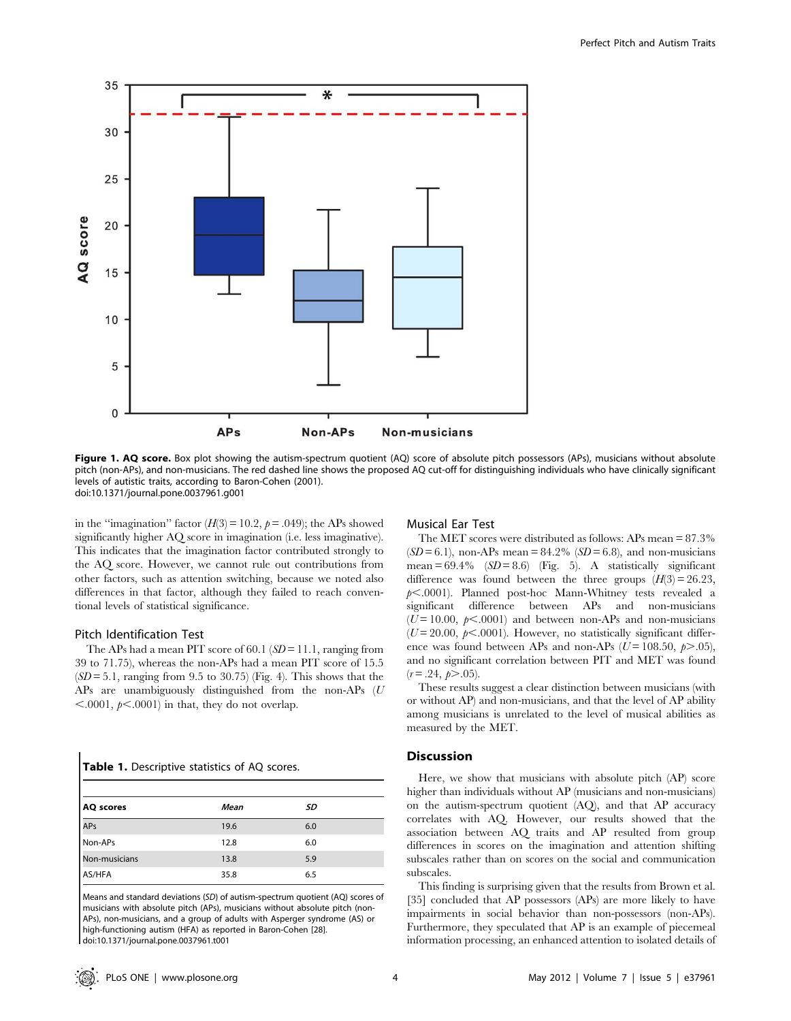

Figure 1. AQ score. Box plot showing the autism-spectrum quotient (AQ) score of absolute pitch possessors (APs), musicians without absolute pitch (non-APs), and non-musicians. The red dashed line shows the proposed AQ cut-off for distinguishing individuals who have clinically significant levels of autistic traits, according to Baron-Cohen (2001). doi:10.1371/journal.pone.0037961.g001

in the "imagination" factor  $(H(3) = 10.2, p = .049)$ ; the APs showed significantly higher AQ score in imagination (i.e. less imaginative). This indicates that the imagination factor contributed strongly to the AQ score. However, we cannot rule out contributions from other factors, such as attention switching, because we noted also differences in that factor, although they failed to reach conventional levels of statistical significance.

#### Pitch Identification Test

The APs had a mean PIT score of 60.1 ( $SD = 11.1$ , ranging from 39 to 71.75), whereas the non-APs had a mean PIT score of 15.5  $(SD = 5.1$ , ranging from 9.5 to 30.75) (Fig. 4). This shows that the APs are unambiguously distinguished from the non-APs (U  $\leq$ .0001,  $p\leq$ .0001) in that, they do not overlap.

|  | Table 1. Descriptive statistics of AQ scores. |  |  |  |
|--|-----------------------------------------------|--|--|--|
|--|-----------------------------------------------|--|--|--|

| AQ scores     | Mean | SD  |  |
|---------------|------|-----|--|
| APs           | 19.6 | 6.0 |  |
| Non-APs       | 12.8 | 6.0 |  |
| Non-musicians | 13.8 | 5.9 |  |
| AS/HFA        | 35.8 | 6.5 |  |

Means and standard deviations (SD) of autism-spectrum quotient (AQ) scores of musicians with absolute pitch (APs), musicians without absolute pitch (non-APs), non-musicians, and a group of adults with Asperger syndrome (AS) or high-functioning autism (HFA) as reported in Baron-Cohen [28]. doi:10.1371/journal.pone.0037961.t001

## Musical Ear Test

The MET scores were distributed as follows: APs mean = 87.3%  $(SD = 6.1)$ , non-APs mean = 84.2%  $(SD = 6.8)$ , and non-musicians mean =  $69.4\%$  (SD = 8.6) (Fig. 5). A statistically significant difference was found between the three groups  $(H(3) = 26.23$ ,  $p$ <.0001). Planned post-hoc Mann-Whitney tests revealed a significant difference between APs and non-musicians  $(U=10.00, p<.0001)$  and between non-APs and non-musicians  $(U=20.00, p<.0001)$ . However, no statistically significant difference was found between APs and non-APs ( $U = 108.50, p > .05$ ), and no significant correlation between PIT and MET was found  $(r = .24, p > .05)$ .

These results suggest a clear distinction between musicians (with or without AP) and non-musicians, and that the level of AP ability among musicians is unrelated to the level of musical abilities as measured by the MET.

## **Discussion**

Here, we show that musicians with absolute pitch (AP) score higher than individuals without AP (musicians and non-musicians) on the autism-spectrum quotient (AQ), and that AP accuracy correlates with AQ. However, our results showed that the association between AQ traits and AP resulted from group differences in scores on the imagination and attention shifting subscales rather than on scores on the social and communication subscales.

This finding is surprising given that the results from Brown et al. [35] concluded that AP possessors (APs) are more likely to have impairments in social behavior than non-possessors (non-APs). Furthermore, they speculated that AP is an example of piecemeal information processing, an enhanced attention to isolated details of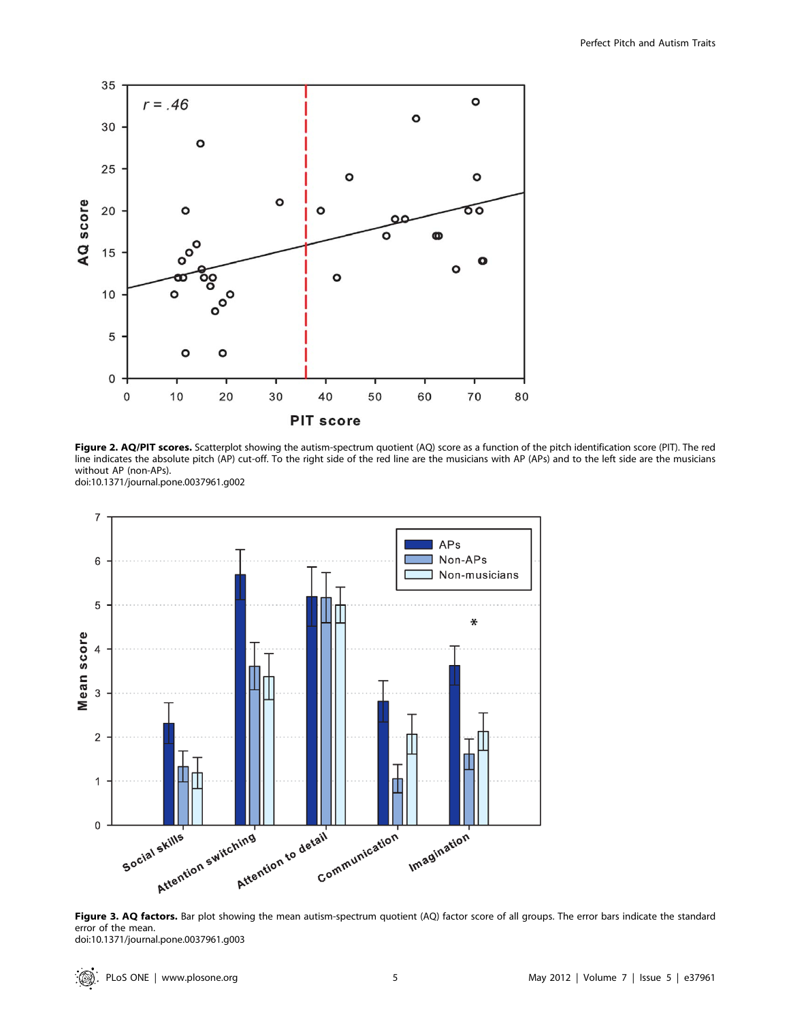

Figure 2. AQ/PIT scores. Scatterplot showing the autism-spectrum quotient (AQ) score as a function of the pitch identification score (PIT). The red line indicates the absolute pitch (AP) cut-off. To the right side of the red line are the musicians with AP (APs) and to the left side are the musicians without AP (non-APs). doi:10.1371/journal.pone.0037961.g002



Figure 3. AQ factors. Bar plot showing the mean autism-spectrum quotient (AQ) factor score of all groups. The error bars indicate the standard error of the mean. doi:10.1371/journal.pone.0037961.g003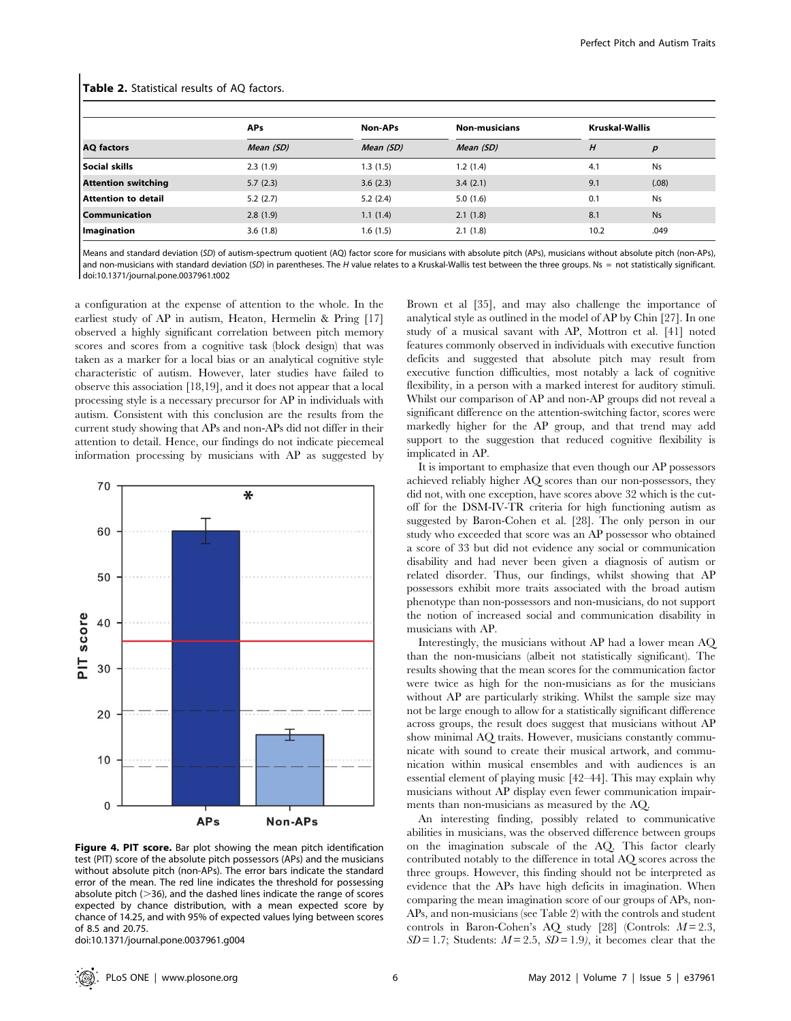| <b>AQ</b> factors          | <b>APs</b><br>Mean (SD) | Non-APs   | <b>Non-musicians</b><br>Mean (SD) | <b>Kruskal-Wallis</b> |           |
|----------------------------|-------------------------|-----------|-----------------------------------|-----------------------|-----------|
|                            |                         | Mean (SD) |                                   | Н                     | р         |
| Social skills              | 2.3(1.9)                | 1.3(1.5)  | 1.2(1.4)                          | 4.1                   | <b>Ns</b> |
| <b>Attention switching</b> | 5.7(2.3)                | 3.6(2.3)  | 3.4(2.1)                          | 9.1                   | (.08)     |
| Attention to detail        | 5.2(2.7)                | 5.2(2.4)  | 5.0(1.6)                          | 0.1                   | <b>Ns</b> |
| <b>Communication</b>       | 2.8(1.9)                | 1.1(1.4)  | 2.1(1.8)                          | 8.1                   | <b>Ns</b> |
| Imagination                | 3.6(1.8)                | 1.6(1.5)  | 2.1(1.8)                          | 10.2                  | .049      |

#### Table 2. Statistical results of AQ factors.

Means and standard deviation (SD) of autism-spectrum quotient (AQ) factor score for musicians with absolute pitch (APs), musicians without absolute pitch (non-APs), and non-musicians with standard deviation (SD) in parentheses. The H value relates to a Kruskal-Wallis test between the three groups. Ns = not statistically significant. doi:10.1371/journal.pone.0037961.t002

a configuration at the expense of attention to the whole. In the earliest study of AP in autism, Heaton, Hermelin & Pring [17] observed a highly significant correlation between pitch memory scores and scores from a cognitive task (block design) that was taken as a marker for a local bias or an analytical cognitive style characteristic of autism. However, later studies have failed to observe this association [18,19], and it does not appear that a local processing style is a necessary precursor for AP in individuals with autism. Consistent with this conclusion are the results from the current study showing that APs and non-APs did not differ in their attention to detail. Hence, our findings do not indicate piecemeal information processing by musicians with AP as suggested by



Figure 4. PIT score. Bar plot showing the mean pitch identification test (PIT) score of the absolute pitch possessors (APs) and the musicians without absolute pitch (non-APs). The error bars indicate the standard error of the mean. The red line indicates the threshold for possessing absolute pitch  $(>36)$ , and the dashed lines indicate the range of scores expected by chance distribution, with a mean expected score by chance of 14.25, and with 95% of expected values lying between scores of 8.5 and 20.75.

doi:10.1371/journal.pone.0037961.g004

Brown et al [35], and may also challenge the importance of analytical style as outlined in the model of AP by Chin [27]. In one study of a musical savant with AP, Mottron et al. [41] noted features commonly observed in individuals with executive function deficits and suggested that absolute pitch may result from executive function difficulties, most notably a lack of cognitive flexibility, in a person with a marked interest for auditory stimuli. Whilst our comparison of AP and non-AP groups did not reveal a significant difference on the attention-switching factor, scores were markedly higher for the AP group, and that trend may add support to the suggestion that reduced cognitive flexibility is implicated in AP.

It is important to emphasize that even though our AP possessors achieved reliably higher AQ scores than our non-possessors, they did not, with one exception, have scores above 32 which is the cutoff for the DSM-IV-TR criteria for high functioning autism as suggested by Baron-Cohen et al. [28]. The only person in our study who exceeded that score was an AP possessor who obtained a score of 33 but did not evidence any social or communication disability and had never been given a diagnosis of autism or related disorder. Thus, our findings, whilst showing that AP possessors exhibit more traits associated with the broad autism phenotype than non-possessors and non-musicians, do not support the notion of increased social and communication disability in musicians with AP.

Interestingly, the musicians without AP had a lower mean AQ than the non-musicians (albeit not statistically significant). The results showing that the mean scores for the communication factor were twice as high for the non-musicians as for the musicians without AP are particularly striking. Whilst the sample size may not be large enough to allow for a statistically significant difference across groups, the result does suggest that musicians without AP show minimal AQ traits. However, musicians constantly communicate with sound to create their musical artwork, and communication within musical ensembles and with audiences is an essential element of playing music [42–44]. This may explain why musicians without AP display even fewer communication impairments than non-musicians as measured by the AQ.

An interesting finding, possibly related to communicative abilities in musicians, was the observed difference between groups on the imagination subscale of the AQ. This factor clearly contributed notably to the difference in total AQ scores across the three groups. However, this finding should not be interpreted as evidence that the APs have high deficits in imagination. When comparing the mean imagination score of our groups of APs, non-APs, and non-musicians (see Table 2) with the controls and student controls in Baron-Cohen's AQ study [28] (Controls:  $M = 2.3$ ,  $SD = 1.7$ ; Students:  $M = 2.5$ ,  $SD = 1.9$ ), it becomes clear that the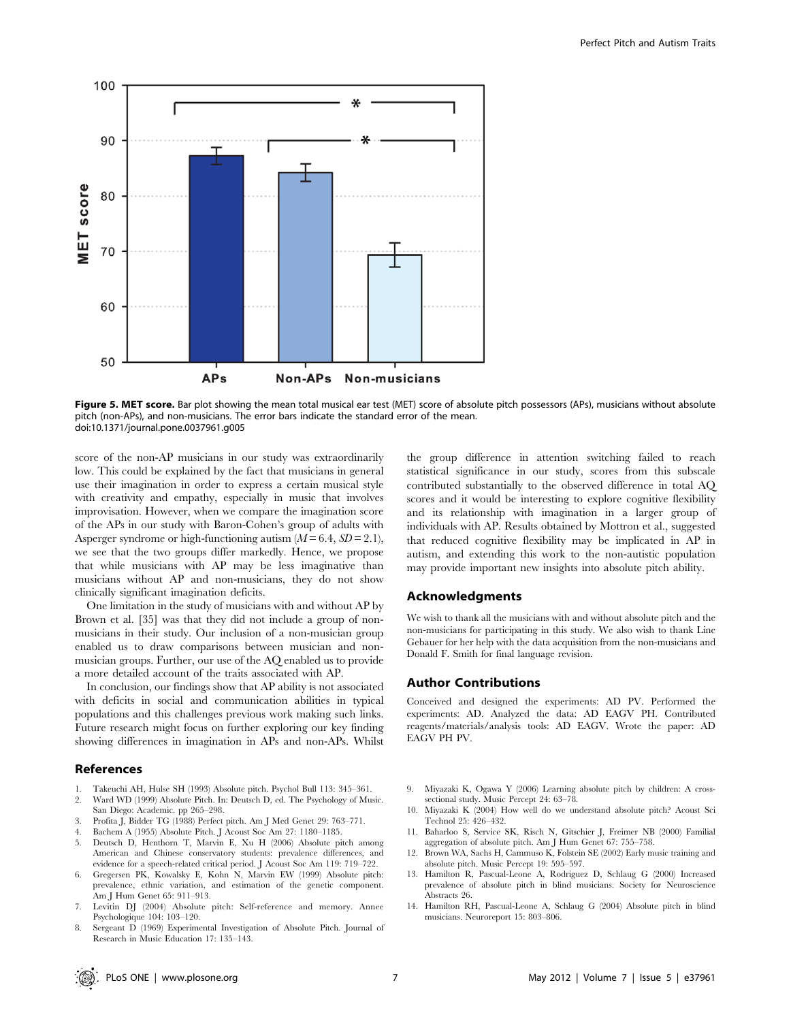

Figure 5. MET score. Bar plot showing the mean total musical ear test (MET) score of absolute pitch possessors (APs), musicians without absolute pitch (non-APs), and non-musicians. The error bars indicate the standard error of the mean. doi:10.1371/journal.pone.0037961.g005

score of the non-AP musicians in our study was extraordinarily low. This could be explained by the fact that musicians in general use their imagination in order to express a certain musical style with creativity and empathy, especially in music that involves improvisation. However, when we compare the imagination score of the APs in our study with Baron-Cohen's group of adults with Asperger syndrome or high-functioning autism  $(M = 6.4, SD = 2.1)$ , we see that the two groups differ markedly. Hence, we propose that while musicians with AP may be less imaginative than musicians without AP and non-musicians, they do not show clinically significant imagination deficits.

One limitation in the study of musicians with and without AP by Brown et al. [35] was that they did not include a group of nonmusicians in their study. Our inclusion of a non-musician group enabled us to draw comparisons between musician and nonmusician groups. Further, our use of the AQ enabled us to provide a more detailed account of the traits associated with AP.

In conclusion, our findings show that AP ability is not associated with deficits in social and communication abilities in typical populations and this challenges previous work making such links. Future research might focus on further exploring our key finding showing differences in imagination in APs and non-APs. Whilst

#### References

- 1. Takeuchi AH, Hulse SH (1993) Absolute pitch. Psychol Bull 113: 345–361.
- 2. Ward WD (1999) Absolute Pitch. In: Deutsch D, ed. The Psychology of Music. San Diego: Academic. pp 265–298.
- 3. Profita J, Bidder TG (1988) Perfect pitch. Am J Med Genet 29: 763–771.
- 4. Bachem A (1955) Absolute Pitch. J Acoust Soc Am 27: 1180–1185.
- 5. Deutsch D, Henthorn T, Marvin E, Xu H (2006) Absolute pitch among American and Chinese conservatory students: prevalence differences, and evidence for a speech-related critical period. J Acoust Soc Am 119: 719–722.
- 6. Gregersen PK, Kowalsky E, Kohn N, Marvin EW (1999) Absolute pitch: prevalence, ethnic variation, and estimation of the genetic component. Am J Hum Genet 65: 911–913.
- 7. Levitin DJ (2004) Absolute pitch: Self-reference and memory. Annee Psychologique 104: 103–120.
- 8. Sergeant D (1969) Experimental Investigation of Absolute Pitch. Journal of Research in Music Education 17: 135–143.

the group difference in attention switching failed to reach statistical significance in our study, scores from this subscale contributed substantially to the observed difference in total AQ scores and it would be interesting to explore cognitive flexibility and its relationship with imagination in a larger group of individuals with AP. Results obtained by Mottron et al., suggested that reduced cognitive flexibility may be implicated in AP in autism, and extending this work to the non-autistic population may provide important new insights into absolute pitch ability.

#### Acknowledgments

We wish to thank all the musicians with and without absolute pitch and the non-musicians for participating in this study. We also wish to thank Line Gebauer for her help with the data acquisition from the non-musicians and Donald F. Smith for final language revision.

#### Author Contributions

Conceived and designed the experiments: AD PV. Performed the experiments: AD. Analyzed the data: AD EAGV PH. Contributed reagents/materials/analysis tools: AD EAGV. Wrote the paper: AD EAGV PH PV.

- 9. Miyazaki K, Ogawa Y (2006) Learning absolute pitch by children: A crosssectional study. Music Percept 24: 63–78.
- Miyazaki K (2004) How well do we understand absolute pitch? Acoust Sci Technol 25: 426–432.
- 11. Baharloo S, Service SK, Risch N, Gitschier J, Freimer NB (2000) Familial aggregation of absolute pitch. Am J Hum Genet 67: 755–758.
- 12. Brown WA, Sachs H, Cammuso K, Folstein SE (2002) Early music training and absolute pitch. Music Percept 19: 595–597.
- 13. Hamilton R, Pascual-Leone A, Rodriguez D, Schlaug G (2000) Increased prevalence of absolute pitch in blind musicians. Society for Neuroscience Abstracts 26.
- 14. Hamilton RH, Pascual-Leone A, Schlaug G (2004) Absolute pitch in blind musicians. Neuroreport 15: 803–806.